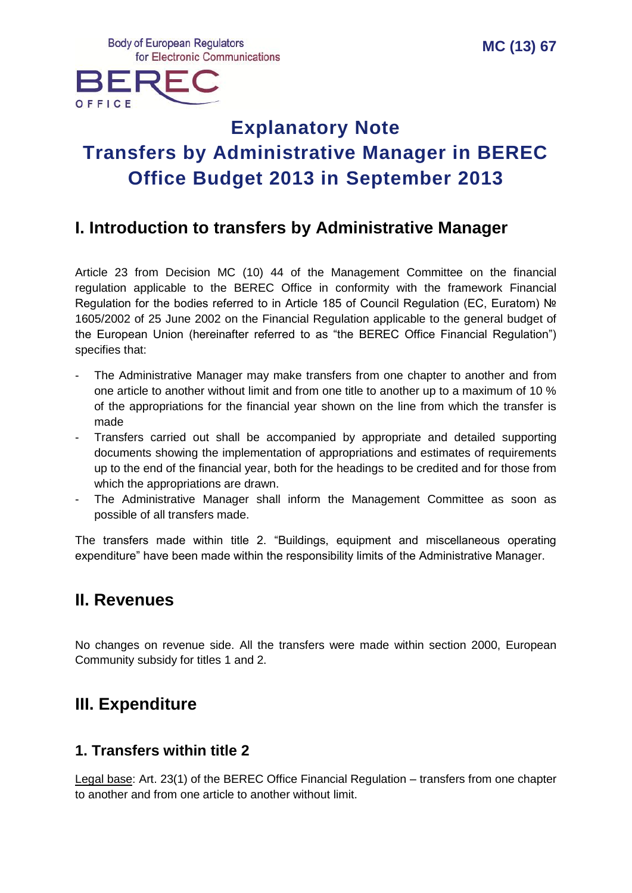**Body of European Regulators** for Electronic Communications



# **Explanatory Note Transfers by Administrative Manager in BEREC Office Budget 2013 in September 2013**

### **I. Introduction to transfers by Administrative Manager**

Article 23 from Decision MC (10) 44 of the Management Committee on the financial regulation applicable to the BEREC Office in conformity with the framework Financial Regulation for the bodies referred to in Article 185 of Council Regulation (EC, Euratom) № 1605/2002 of 25 June 2002 on the Financial Regulation applicable to the general budget of the European Union (hereinafter referred to as "the BEREC Office Financial Regulation") specifies that:

- The Administrative Manager may make transfers from one chapter to another and from one article to another without limit and from one title to another up to a maximum of 10 % of the appropriations for the financial year shown on the line from which the transfer is made
- Transfers carried out shall be accompanied by appropriate and detailed supporting documents showing the implementation of appropriations and estimates of requirements up to the end of the financial year, both for the headings to be credited and for those from which the appropriations are drawn.
- The Administrative Manager shall inform the Management Committee as soon as possible of all transfers made.

The transfers made within title 2. "Buildings, equipment and miscellaneous operating expenditure" have been made within the responsibility limits of the Administrative Manager.

### **II. Revenues**

No changes on revenue side. All the transfers were made within section 2000, European Community subsidy for titles 1 and 2.

### **III. Expenditure**

#### **1. Transfers within title 2**

Legal base: Art. 23(1) of the BEREC Office Financial Regulation – transfers from one chapter to another and from one article to another without limit.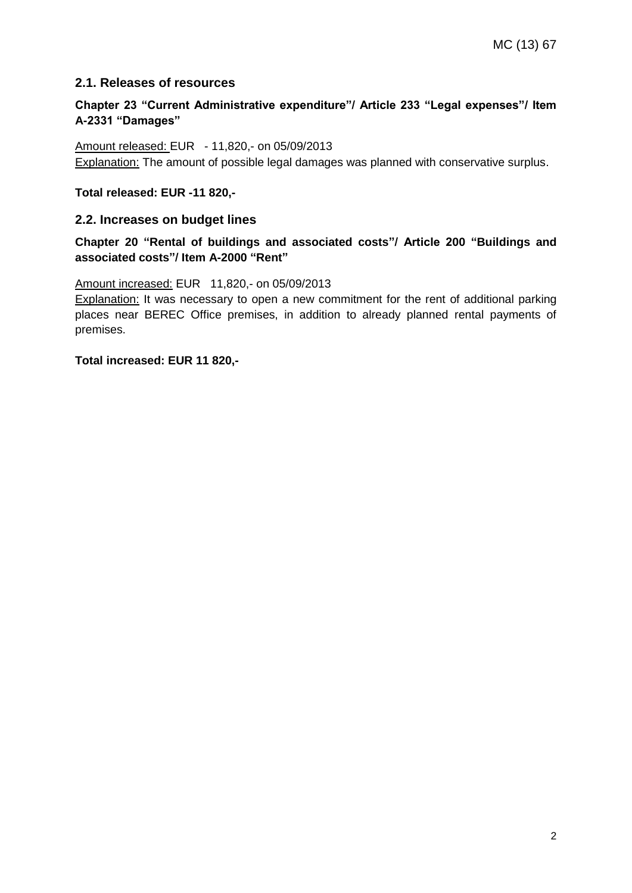#### **2.1. Releases of resources**

#### **Chapter 23 "Current Administrative expenditure"/ Article 233 "Legal expenses"/ Item A-2331 "Damages"**

Amount released: EUR - 11,820,- on 05/09/2013 Explanation: The amount of possible legal damages was planned with conservative surplus.

**Total released: EUR -11 820,-**

#### **2.2. Increases on budget lines**

**Chapter 20 "Rental of buildings and associated costs"/ Article 200 "Buildings and associated costs"/ Item A-2000 "Rent"**

Amount increased: EUR 11,820,- on 05/09/2013

Explanation: It was necessary to open a new commitment for the rent of additional parking places near BEREC Office premises, in addition to already planned rental payments of premises.

**Total increased: EUR 11 820,-**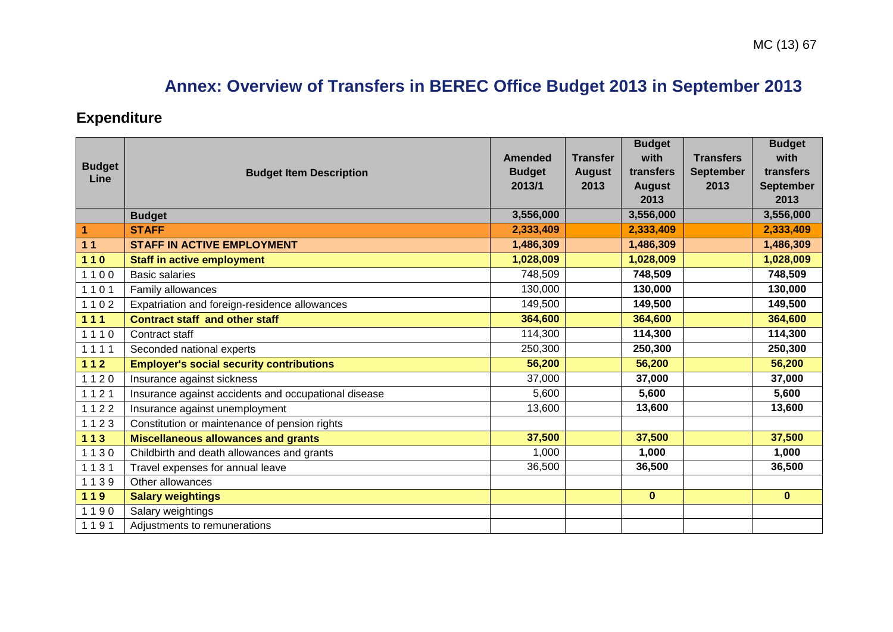# **Annex: Overview of Transfers in BEREC Office Budget 2013 in September 2013**

## **Expenditure**

| <b>Budget</b><br>Line | <b>Budget Item Description</b>                       | <b>Amended</b><br><b>Budget</b><br>2013/1 | <b>Transfer</b><br><b>August</b><br>2013 | <b>Budget</b><br>with<br>transfers<br><b>August</b><br>2013 | <b>Transfers</b><br><b>September</b><br>2013 | <b>Budget</b><br>with<br>transfers<br><b>September</b><br>2013 |
|-----------------------|------------------------------------------------------|-------------------------------------------|------------------------------------------|-------------------------------------------------------------|----------------------------------------------|----------------------------------------------------------------|
|                       | <b>Budget</b>                                        | 3,556,000                                 |                                          | 3,556,000                                                   |                                              | 3,556,000                                                      |
| $\overline{1}$        | <b>STAFF</b>                                         | 2,333,409                                 |                                          | 2,333,409                                                   |                                              | 2,333,409                                                      |
| $11$                  | <b>STAFF IN ACTIVE EMPLOYMENT</b>                    | 1,486,309                                 |                                          | 1,486,309                                                   |                                              | 1,486,309                                                      |
| $110$                 | <b>Staff in active employment</b>                    | 1,028,009                                 |                                          | 1,028,009                                                   |                                              | 1,028,009                                                      |
| 1100                  | <b>Basic salaries</b>                                | 748,509                                   |                                          | 748,509                                                     |                                              | 748,509                                                        |
| 1101                  | Family allowances                                    | 130,000                                   |                                          | 130,000                                                     |                                              | 130,000                                                        |
| 1102                  | Expatriation and foreign-residence allowances        | 149,500                                   |                                          | 149,500                                                     |                                              | 149,500                                                        |
| $111$                 | <b>Contract staff and other staff</b>                | 364,600                                   |                                          | 364,600                                                     |                                              | 364,600                                                        |
| 1110                  | Contract staff                                       | 114,300                                   |                                          | 114,300                                                     |                                              | 114,300                                                        |
| 1111                  | Seconded national experts                            | 250,300                                   |                                          | 250,300                                                     |                                              | 250,300                                                        |
| $112$                 | <b>Employer's social security contributions</b>      | 56,200                                    |                                          | 56,200                                                      |                                              | 56,200                                                         |
| 1120                  | Insurance against sickness                           | 37,000                                    |                                          | 37,000                                                      |                                              | 37,000                                                         |
| 1121                  | Insurance against accidents and occupational disease | 5,600                                     |                                          | 5,600                                                       |                                              | 5,600                                                          |
| 1122                  | Insurance against unemployment                       | 13,600                                    |                                          | 13,600                                                      |                                              | 13,600                                                         |
| 1123                  | Constitution or maintenance of pension rights        |                                           |                                          |                                                             |                                              |                                                                |
| $113$                 | <b>Miscellaneous allowances and grants</b>           | 37,500                                    |                                          | 37,500                                                      |                                              | 37,500                                                         |
| 1130                  | Childbirth and death allowances and grants           | 1,000                                     |                                          | 1,000                                                       |                                              | 1,000                                                          |
| 1131                  | Travel expenses for annual leave                     | 36,500                                    |                                          | 36,500                                                      |                                              | 36,500                                                         |
| 1139                  | Other allowances                                     |                                           |                                          |                                                             |                                              |                                                                |
| 119                   | <b>Salary weightings</b>                             |                                           |                                          | $\mathbf 0$                                                 |                                              | $\mathbf{0}$                                                   |
| 1190                  | Salary weightings                                    |                                           |                                          |                                                             |                                              |                                                                |
| 1191                  | Adjustments to remunerations                         |                                           |                                          |                                                             |                                              |                                                                |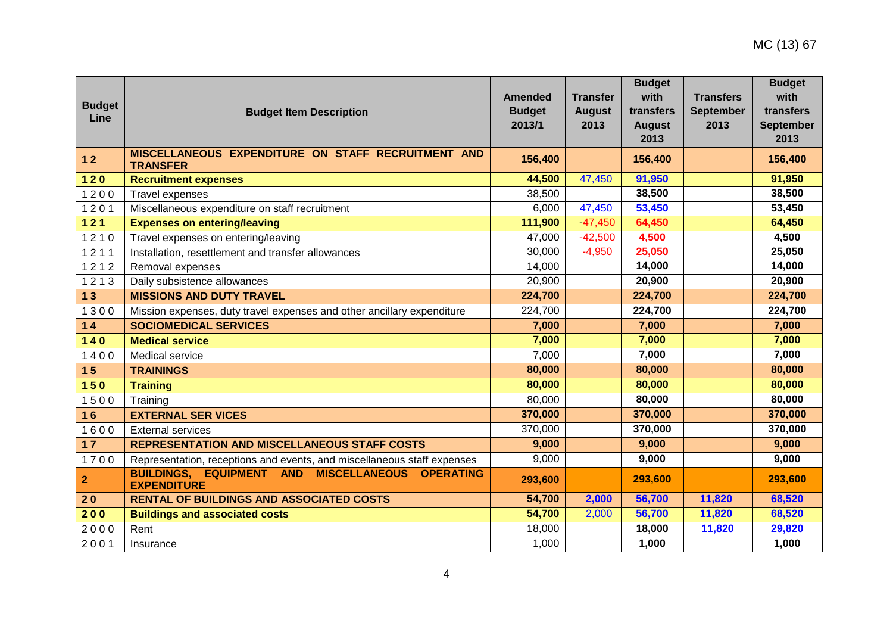| <b>Budget</b><br>Line   | <b>Budget Item Description</b>                                                                    | <b>Amended</b><br><b>Budget</b><br>2013/1 | <b>Transfer</b><br><b>August</b><br>2013 | <b>Budget</b><br>with<br>transfers<br><b>August</b><br>2013 | <b>Transfers</b><br><b>September</b><br>2013 | <b>Budget</b><br>with<br>transfers<br><b>September</b><br>2013 |
|-------------------------|---------------------------------------------------------------------------------------------------|-------------------------------------------|------------------------------------------|-------------------------------------------------------------|----------------------------------------------|----------------------------------------------------------------|
| $12$                    | MISCELLANEOUS EXPENDITURE ON STAFF RECRUITMENT AND<br><b>TRANSFER</b>                             | 156,400                                   |                                          | 156,400                                                     |                                              | 156,400                                                        |
| $120$                   | <b>Recruitment expenses</b>                                                                       | 44,500                                    | 47,450                                   | 91,950                                                      |                                              | 91,950                                                         |
| 1200                    | Travel expenses                                                                                   | 38,500                                    |                                          | 38,500                                                      |                                              | 38,500                                                         |
| 1201                    | Miscellaneous expenditure on staff recruitment                                                    | 6,000                                     | 47,450                                   | 53,450                                                      |                                              | 53,450                                                         |
| $121$                   | <b>Expenses on entering/leaving</b>                                                               | 111,900                                   | 47,450                                   | 64,450                                                      |                                              | 64,450                                                         |
| 1210                    | Travel expenses on entering/leaving                                                               | 47,000                                    | $-42,500$                                | 4,500                                                       |                                              | 4,500                                                          |
| 1211                    | Installation, resettlement and transfer allowances                                                | 30,000                                    | $-4,950$                                 | 25,050                                                      |                                              | 25,050                                                         |
| 1212                    | Removal expenses                                                                                  | 14,000                                    |                                          | 14,000                                                      |                                              | 14,000                                                         |
| 1213                    | Daily subsistence allowances                                                                      | 20,900                                    |                                          | 20,900                                                      |                                              | 20,900                                                         |
| 13                      | <b>MISSIONS AND DUTY TRAVEL</b>                                                                   | 224,700                                   |                                          | 224,700                                                     |                                              | 224,700                                                        |
| 1300                    | Mission expenses, duty travel expenses and other ancillary expenditure                            | 224,700                                   |                                          | 224,700                                                     |                                              | 224,700                                                        |
| $14$                    | <b>SOCIOMEDICAL SERVICES</b>                                                                      | 7,000                                     |                                          | 7,000                                                       |                                              | 7,000                                                          |
| $140$                   | <b>Medical service</b>                                                                            | 7,000                                     |                                          | 7,000                                                       |                                              | 7,000                                                          |
| 1400                    | Medical service                                                                                   | 7,000                                     |                                          | 7,000                                                       |                                              | 7,000                                                          |
| 15                      | <b>TRAININGS</b>                                                                                  | 80,000                                    |                                          | 80,000                                                      |                                              | 80,000                                                         |
| $150$                   | <b>Training</b>                                                                                   | 80,000                                    |                                          | 80,000                                                      |                                              | 80,000                                                         |
| 1500                    | Training                                                                                          | 80,000                                    |                                          | 80,000                                                      |                                              | 80,000                                                         |
| 16                      | <b>EXTERNAL SER VICES</b>                                                                         | 370,000                                   |                                          | 370,000                                                     |                                              | 370,000                                                        |
| 1600                    | <b>External services</b>                                                                          | 370,000                                   |                                          | 370,000                                                     |                                              | 370,000                                                        |
| 17                      | <b>REPRESENTATION AND MISCELLANEOUS STAFF COSTS</b>                                               | 9,000                                     |                                          | 9,000                                                       |                                              | 9,000                                                          |
| 1700                    | Representation, receptions and events, and miscellaneous staff expenses                           | 9,000                                     |                                          | 9,000                                                       |                                              | 9,000                                                          |
| $\overline{\mathbf{2}}$ | <b>BUILDINGS, EQUIPMENT AND</b><br><b>MISCELLANEOUS</b><br><b>OPERATING</b><br><b>EXPENDITURE</b> | 293,600                                   |                                          | 293,600                                                     |                                              | 293,600                                                        |
| 20                      | <b>RENTAL OF BUILDINGS AND ASSOCIATED COSTS</b>                                                   | 54,700                                    | 2,000                                    | 56,700                                                      | 11,820                                       | 68,520                                                         |
| 200                     | <b>Buildings and associated costs</b>                                                             | 54,700                                    | 2,000                                    | 56,700                                                      | 11,820                                       | 68,520                                                         |
| 2000                    | Rent                                                                                              | 18,000                                    |                                          | 18,000                                                      | 11,820                                       | 29,820                                                         |
| 2001                    | Insurance                                                                                         | 1,000                                     |                                          | 1,000                                                       |                                              | 1,000                                                          |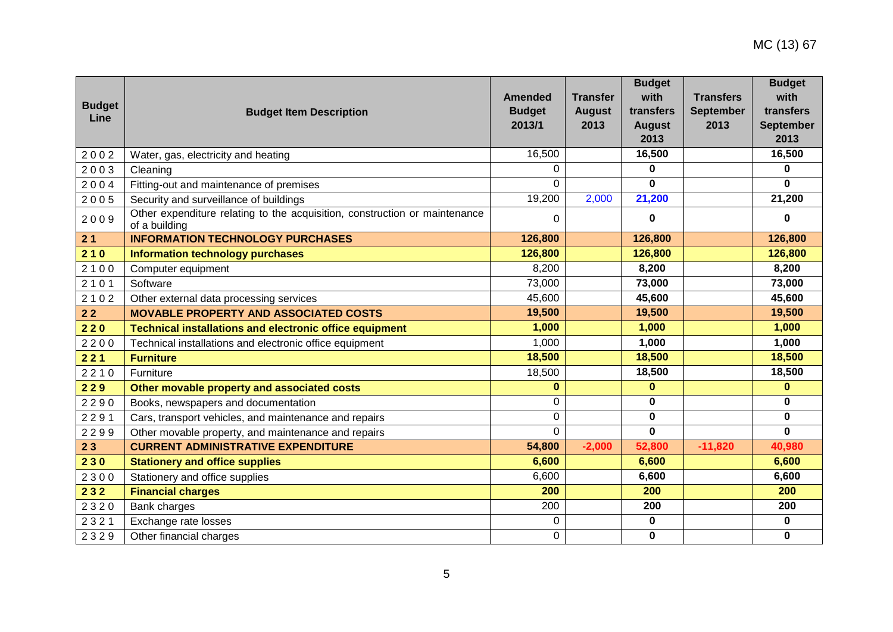| <b>Budget</b><br>Line | <b>Budget Item Description</b>                                                              | <b>Amended</b><br><b>Budget</b><br>2013/1 | <b>Transfer</b><br><b>August</b><br>2013 | <b>Budget</b><br>with<br>transfers<br><b>August</b><br>2013 | <b>Transfers</b><br><b>September</b><br>2013 | <b>Budget</b><br>with<br>transfers<br><b>September</b><br>2013 |
|-----------------------|---------------------------------------------------------------------------------------------|-------------------------------------------|------------------------------------------|-------------------------------------------------------------|----------------------------------------------|----------------------------------------------------------------|
| 2002                  | Water, gas, electricity and heating                                                         | 16,500                                    |                                          | 16,500                                                      |                                              | 16,500                                                         |
| 2003                  | Cleaning                                                                                    | 0                                         |                                          | 0                                                           |                                              | 0                                                              |
| 2004                  | Fitting-out and maintenance of premises                                                     | 0                                         |                                          | $\mathbf{0}$                                                |                                              | $\mathbf{0}$                                                   |
| 2005                  | Security and surveillance of buildings                                                      | 19,200                                    | 2,000                                    | 21,200                                                      |                                              | 21,200                                                         |
| 2009                  | Other expenditure relating to the acquisition, construction or maintenance<br>of a building | 0                                         |                                          | $\mathbf 0$                                                 |                                              | 0                                                              |
| 21                    | <b>INFORMATION TECHNOLOGY PURCHASES</b>                                                     | 126,800                                   |                                          | 126,800                                                     |                                              | 126,800                                                        |
| 210                   | <b>Information technology purchases</b>                                                     | 126,800                                   |                                          | 126,800                                                     |                                              | 126,800                                                        |
| 2100                  | Computer equipment                                                                          | 8,200                                     |                                          | 8,200                                                       |                                              | 8,200                                                          |
| 2101                  | Software                                                                                    | 73,000                                    |                                          | 73,000                                                      |                                              | 73,000                                                         |
| 2102                  | Other external data processing services                                                     | 45,600                                    |                                          | 45,600                                                      |                                              | 45,600                                                         |
| $22$                  | <b>MOVABLE PROPERTY AND ASSOCIATED COSTS</b>                                                | 19,500                                    |                                          | 19,500                                                      |                                              | 19,500                                                         |
| 220                   | <b>Technical installations and electronic office equipment</b>                              | 1,000                                     |                                          | 1,000                                                       |                                              | 1,000                                                          |
| 2200                  | Technical installations and electronic office equipment                                     | 1,000                                     |                                          | 1,000                                                       |                                              | 1,000                                                          |
| 221                   | <b>Furniture</b>                                                                            | 18,500                                    |                                          | 18,500                                                      |                                              | 18,500                                                         |
| 2210                  | Furniture                                                                                   | 18,500                                    |                                          | 18,500                                                      |                                              | 18,500                                                         |
| 229                   | Other movable property and associated costs                                                 | 0                                         |                                          | $\bf{0}$                                                    |                                              | $\mathbf{0}$                                                   |
| 2290                  | Books, newspapers and documentation                                                         | 0                                         |                                          | 0                                                           |                                              | $\mathbf 0$                                                    |
| 2291                  | Cars, transport vehicles, and maintenance and repairs                                       | 0                                         |                                          | 0                                                           |                                              | $\mathbf 0$                                                    |
| 2299                  | Other movable property, and maintenance and repairs                                         | 0                                         |                                          | $\mathbf{0}$                                                |                                              | $\mathbf 0$                                                    |
| 23                    | <b>CURRENT ADMINISTRATIVE EXPENDITURE</b>                                                   | 54,800                                    | $-2,000$                                 | 52,800                                                      | $-11,820$                                    | 40,980                                                         |
| 230                   | <b>Stationery and office supplies</b>                                                       | 6,600                                     |                                          | 6,600                                                       |                                              | 6,600                                                          |
| 2300                  | Stationery and office supplies                                                              | 6,600                                     |                                          | 6,600                                                       |                                              | 6,600                                                          |
| 232                   | <b>Financial charges</b>                                                                    | 200                                       |                                          | 200                                                         |                                              | 200                                                            |
| 2320                  | Bank charges                                                                                | 200                                       |                                          | 200                                                         |                                              | 200                                                            |
| 2321                  | Exchange rate losses                                                                        | 0                                         |                                          | $\bf{0}$                                                    |                                              | 0                                                              |
| 2329                  | Other financial charges                                                                     | 0                                         |                                          | $\mathbf 0$                                                 |                                              | $\mathbf 0$                                                    |